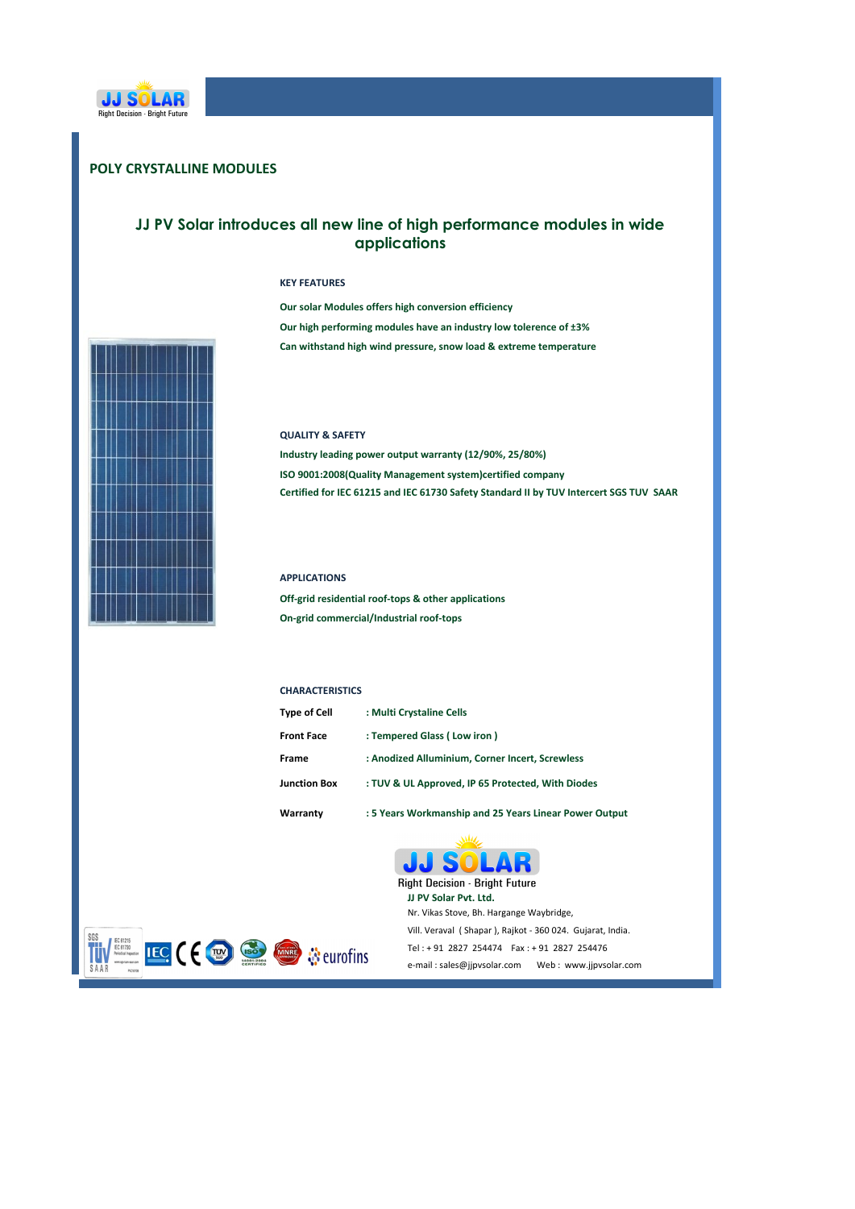

# **POLY CRYSTALLINE MODULES**

## **JJ PV Solar introduces all new line of high performance modules in wide applications**

#### **KEY FEATURES**

Can withstand high wind pressure, snow load & extreme temperature **Our solar Modules offers high conversion efficiency** Our high performing modules have an industry low tolerence of ±3%



#### **QUALITY & SAFETY**

Certified for IEC 61215 and IEC 61730 Safety Standard II by TUV Intercert SGS TUV SAAR **ISO 9001:2008(Quality Management system)certified company** Industry leading power output warranty (12/90%, 25/80%)

#### **APPLICATIONS**

**Off-grid residential roof-tops & other applications On-grid commercial/Industrial roof-tops**

#### **CHARACTERISTICS**

| <b>Type of Cell</b> | : Multi Crystaline Cells                               |
|---------------------|--------------------------------------------------------|
| <b>Front Face</b>   | : Tempered Glass (Low iron)                            |
| Frame               | : Anodized Alluminium, Corner Incert, Screwless        |
| <b>Junction Box</b> | : TUV & UL Approved, IP 65 Protected, With Diodes      |
| Warranty            | : 5 Years Workmanship and 25 Years Linear Power Output |

**JJ PV Solar Pvt. Ltd.** 

JJ S

Nr. Vikas Stove, Bh. Hargange Waybridge,

OL

**Right Decision - Bright Future** 

Vill. Veraval ( Shapar ), Rajkot - 360 024. Gujarat, India. Tel: + 91 2827 254474 Fax: + 91 2827 254476 e-mail : sales@jjpvsolar.com Web : www.jjpvsolar.com